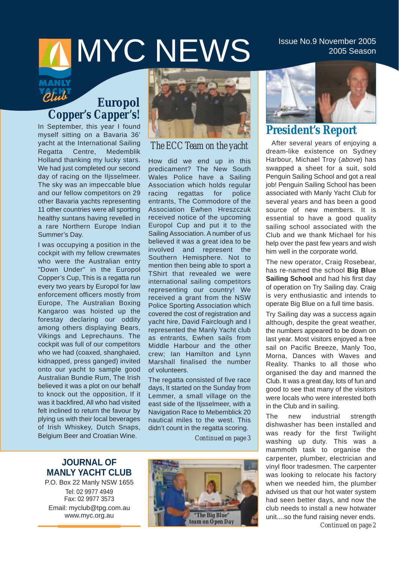# $MNC$  NEWS  $^{1}$  Issue No.9 November 2005

## *Club*

## *Europol Copper's Capper's!*

In September, this year I found myself sitting on a Bavaria 36' yacht at the International Sailing Regatta Centre, Medemblik Holland thanking my lucky stars. We had just completed our second day of racing on the IIjsselmeer. The sky was an impeccable blue and our fellow competitors on 29 other Bavaria yachts representing 11 other countries were all sporting healthy suntans having revelled in a rare Northern Europe Indian Summer's Day.

I was occupying a position in the cockpit with my fellow crewmates who were the Australian entry "Down Under" in the Europol Copper's Cup, This is a regatta run every two years by Europol for law enforcement officers mostly from Europe, The Australian Boxing Kangaroo was hoisted up the forestay declaring our oddity among others displaying Bears, Vikings and Leprechauns. The cockpit was full of our competitors who we had (coaxed, shanghaied, kidnapped, press ganged) invited onto our yacht to sample good Australian Bundie Rum, The Irish believed it was a plot on our behalf to knock out the opposition, If it was it backfired, All who had visited felt inclined to return the favour by plying us with their local beverages of Irish Whiskey, Dutch Snaps, Belgium Beer and Croatian Wine.



*The ECC Team on the yacht*

How did we end up in this predicament? The New South Wales Police have a Sailing Association which holds regular racing regattas for police entrants, The Commodore of the Association Ewhen Hreszczuk received notice of the upcoming Europol Cup and put it to the Sailing Association. A number of us believed it was a great idea to be involved and represent the Southern Hemisphere. Not to mention then being able to sport a TShirt that revealed we were international sailing competitors representing our country! We received a grant from the NSW Police Sporting Association which covered the cost of registration and yacht hire, David Fairclough and I represented the Manly Yacht club as entrants, Ewhen sails from Middle Harbour and the other crew; Ian Hamilton and Lynn Marshall finalised the number of volunteers.

The regatta consisted of five race days, It started on the Sunday from Lemmer, a small village on the east side of the IIjsselmeer, with a Navigation Race to Mebemblick 20 nautical miles to the west. This didn't count in the regatta scoring.

*Continued on page 3*

## **JOURNAL OF MANLY YACHT CLUB**

P.O. Box 22 Manly NSW 1655 Tel: 02 9977 4949 Fax: 02 9977 3573 Email: myclub@tpg.com.au www.myc.org.au





## **President's Report**

After several years of enjoying a dream-like existence on Sydney Harbour, Michael Troy (above) has swapped a sheet for a suit, sold Penguin Sailing School and got a real job! Penguin Sailing School has been associated with Manly Yacht Club for several years and has been a good source of new members. It is essential to have a good quality sailing school associated with the Club and we thank Michael for his help over the past few years and wish him well in the corporate world.

The new operator, Craig Rosebear, has re-named the school **Big Blue Sailing School** and had his first day of operation on Try Sailing day. Craig is very enthusiastic and intends to operate Big Blue on a full time basis.

Try Sailing day was a success again although, despite the great weather, the numbers appeared to be down on last year. Most visitors enjoyed a free sail on Pacific Breeze, Manly Too, Morna, Dances with Waves and Reality. Thanks to all those who organised the day and manned the Club. It was a great day, lots of fun and good to see that many of the visitors were locals who were interested both in the Club and in sailing.

The new industrial strength dishwasher has been installed and was ready for the first Twilight washing up duty. This was a mammoth task to organise the carpenter, plumber, electrician and vinyl floor tradesmen. The carpenter was looking to relocate his factory when we needed him, the plumber advised us that our hot water system had seen better days, and now the club needs to install a new hotwater unit....so the fund raising never ends. *Continued on page 2*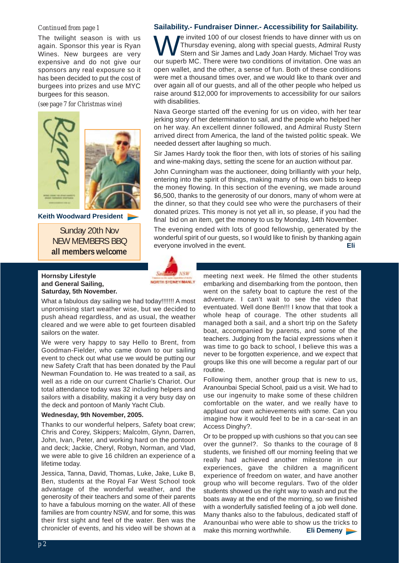#### *Continued from page 1*

The twilight season is with us again. Sponsor this year is Ryan Wines. New burgees are very expensive and do not give our sponsors any real exposure so it has been decided to put the cost of burgees into prizes and use MYC burgees for this season.

*(see page 7 for Christmas wine)*



**Keith Woodward President** 

Sunday 20th Nov NEW MEMBERS BBQ **all members welcome**

### **Hornsby Lifestyle and General Sailing, Saturday, 5th November.**

What a fabulous day sailing we had today!!!!!!! A most unpromising start weather wise, but we decided to push ahead regardless, and as usual, the weather cleared and we were able to get fourteen disabled sailors on the water.

We were very happy to say Hello to Brent, from Goodman-Fielder, who came down to our sailing event to check out what use we would be putting our new Safety Craft that has been donated by the Paul Newman Foundation to. He was treated to a sail, as well as a ride on our current Charlie's Chariot. Our total attendance today was 32 including helpers and sailors with a disability, making it a very busy day on the deck and pontoon of Manly Yacht Club.

#### **Wednesday, 9th November, 2005.**

Thanks to our wonderful helpers, Safety boat crew; Chris and Corey, Skippers; Malcolm, Glynn, Darren, John, Ivan, Peter, and working hard on the pontoon and deck; Jackie, Cheryl, Robyn, Norman, and Vlad, we were able to give 16 children an experience of a lifetime today.

Jessica, Tanna, David, Thomas, Luke, Jake, Luke B, Ben, students at the Royal Far West School took advantage of the wonderful weather, and the generosity of their teachers and some of their parents to have a fabulous morning on the water. All of these families are from country NSW, and for some, this was their first sight and feel of the water. Ben was the chronicler of events, and his video will be shown at a

### **Sailability.- Fundraiser Dinner.- Accessibility for Sailability.**

We invited 100 of our closest friends to have dinner with us on<br>Thursday evening, along with special guests, Admiral Rusty<br>Stern and Sir James and Lady Joan Hardy. Michael Troy was Thursday evening, along with special guests, Admiral Rusty our superb MC. There were two conditions of invitation. One was an open wallet, and the other, a sense of fun. Both of these conditions were met a thousand times over, and we would like to thank over and over again all of our guests, and all of the other people who helped us raise around \$12,000 for improvements to accessibility for our sailors with disabilities.

Nava George started off the evening for us on video, with her tear jerking story of her determination to sail, and the people who helped her on her way. An excellent dinner followed, and Admiral Rusty Stern arrived direct from America, the land of the twisted politic speak. We needed dessert after laughing so much.

Sir James Hardy took the floor then, with lots of stories of his sailing and wine-making days, setting the scene for an auction without par.

John Cunningham was the auctioneer, doing brilliantly with your help, entering into the spirit of things, making many of his own bids to keep the money flowing. In this section of the evening, we made around \$6,500, thanks to the generosity of our donors, many of whom were at the dinner, so that they could see who were the purchasers of their donated prizes. This money is not yet all in, so please, if you had the final bid on an item, get the money to us by Monday, 14th November.

The evening ended with lots of good fellowship, generated by the wonderful spirit of our guests, so I would like to finish by thanking again everyone involved in the event. **Eli**



meeting next week. He filmed the other students embarking and disembarking from the pontoon, then went on the safety boat to capture the rest of the adventure. I can't wait to see the video that eventuated. Well done Ben!!! I know that that took a whole heap of courage. The other students all managed both a sail, and a short trip on the Safety boat, accompanied by parents, and some of the teachers. Judging from the facial expressions when it was time to go back to school, I believe this was a never to be forgotten experience, and we expect that groups like this one will become a regular part of our routine.

Following them, another group that is new to us, Aranounbai Special School, paid us a visit. We had to use our ingenuity to make some of these children comfortable on the water, and we really have to applaud our own achievements with some. Can you imagine how it would feel to be in a car-seat in an Access Dinghy?.

Or to be propped up with cushions so that you can see over the gunnel?. So thanks to the courage of 8 students, we finished off our morning feeling that we really had achieved another milestone in our experiences, gave the children a magnificent experience of freedom on water, and have another group who will become regulars. Two of the older students showed us the right way to wash and put the boats away at the end of the morning, so we finished with a wonderfully satisfied feeling of a job well done. Many thanks also to the fabulous, dedicated staff of Aranounbai who were able to show us the tricks to make this morning worthwhile. **Eli Demeny**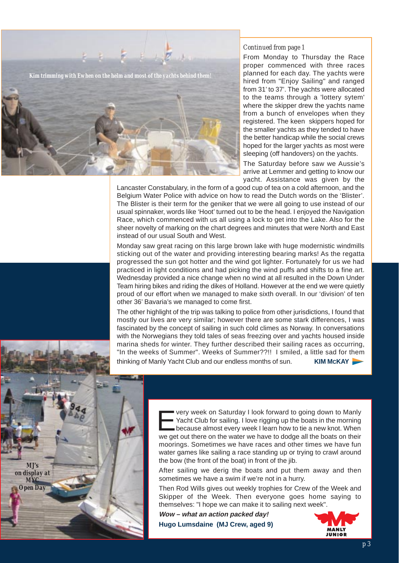

#### *Continued from page 1*

From Monday to Thursday the Race proper commenced with three races planned for each day. The yachts were hired from "Enjoy Sailing" and ranged from 31' to 37'. The yachts were allocated to the teams through a 'lottery sytem' where the skipper drew the yachts name from a bunch of envelopes when they registered. The keen skippers hoped for the smaller yachts as they tended to have the better handicap while the social crews hoped for the larger yachts as most were sleeping (off handovers) on the yachts.

The Saturday before saw we Aussie's arrive at Lemmer and getting to know our yacht. Assistance was given by the

Lancaster Constabulary, in the form of a good cup of tea on a cold afternoon, and the Belgium Water Police with advice on how to read the Dutch words on the 'Blister'. The Blister is their term for the geniker that we were all going to use instead of our usual spinnaker, words like 'Hoot' turned out to be the head. I enjoyed the Navigation Race, which commenced with us all using a lock to get into the Lake. Also for the sheer novelty of marking on the chart degrees and minutes that were North and East instead of our usual South and West.

Monday saw great racing on this large brown lake with huge modernistic windmills sticking out of the water and providing interesting bearing marks! As the regatta progressed the sun got hotter and the wind got lighter. Fortunately for us we had practiced in light conditions and had picking the wind puffs and shifts to a fine art. Wednesday provided a nice change when no wind at all resulted in the Down Under Team hiring bikes and riding the dikes of Holland. However at the end we were quietly proud of our effort when we managed to make sixth overall. In our 'division' of ten other 36' Bavaria's we managed to come first.

The other highlight of the trip was talking to police from other jurisdictions, I found that mostly our lives are very similar; however there are some stark differences, I was fascinated by the concept of sailing in such cold climes as Norway. In conversations with the Norwegians they told tales of seas freezing over and yachts housed inside marina sheds for winter. They further described their sailing races as occurring, "In the weeks of Summer". Weeks of Summer??!! I smiled, a little sad for them





very week on Saturday I look forward to going down to Manly<br>
Yacht Club for sailing. I love rigging up the boats in the morning<br>
because almost every week I learn how to tie a new knot. When<br>
we get out there an the water Yacht Club for sailing. I love rigging up the boats in the morning we get out there on the water we have to dodge all the boats on their moorings. Sometimes we have races and other times we have fun water games like sailing a race standing up or trying to crawl around the bow (the front of the boat) in front of the jib.

After sailing we derig the boats and put them away and then sometimes we have a swim if we're not in a hurry.

Then Rod Wills gives out weekly trophies for Crew of the Week and Skipper of the Week. Then everyone goes home saying to themselves: "I hope we can make it to sailing next week".

**Wow – what an action packed day! Hugo Lumsdaine (MJ Crew, aged 9)**

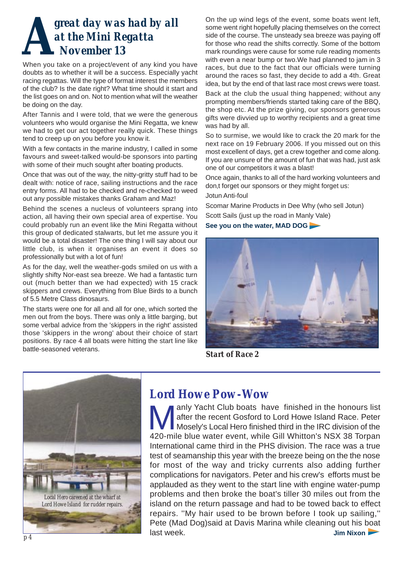## *great day was had by all at the Mini Regatta November 13*

When you take on a project/event of any kind you have doubts as to whether it will be a success. Especially yacht racing regattas. Will the type of format interest the members of the club? Is the date right? What time should it start and the list goes on and on. Not to mention what will the weather be doing on the day.

After Tannis and I were told, that we were the generous volunteers who would organise the Mini Regatta, we knew we had to get our act together really quick. These things tend to creep up on you before you know it.

With a few contacts in the marine industry, I called in some favours and sweet-talked would-be sponsors into parting with some of their much sought after boating products.

Once that was out of the way, the nitty-gritty stuff had to be dealt with: notice of race, sailing instructions and the race entry forms. All had to be checked and re-checked to weed out any possible mistakes thanks Graham and Maz!

Behind the scenes a nucleus of volunteers sprang into action, all having their own special area of expertise. You could probably run an event like the Mini Regatta without this group of dedicated stalwarts, but let me assure you it would be a total disaster! The one thing I will say about our little club, is when it organises an event it does so professionally but with a lot of fun!

As for the day, well the weather-gods smiled on us with a slightly shifty Nor-east sea breeze. We had a fantastic turn out (much better than we had expected) with 15 crack skippers and crews. Everything from Blue Birds to a bunch of 5.5 Metre Class dinosaurs.

The starts were one for all and all for one, which sorted the men out from the boys. There was only a little barging, but some verbal advice from the 'skippers in the right' assisted those 'skippers in the wrong' about their choice of start positions. By race 4 all boats were hitting the start line like battle-seasoned veterans.

On the up wind legs of the event, some boats went left, some went right hopefully placing themselves on the correct side of the course. The unsteady sea breeze was paying off for those who read the shifts correctly. Some of the bottom mark roundings were cause for some rule reading moments with even a near bump or two.We had planned to jam in 3 races, but due to the fact that our officials were turning around the races so fast, they decide to add a 4th. Great idea, but by the end of that last race most crews were toast. Back at the club the usual thing happened; without any prompting members/friends started taking care of the BBQ, the shop etc. At the prize giving, our sponsors generous gifts were divvied up to worthy recipients and a great time was had by all.

So to surmise, we would like to crack the 20 mark for the next race on 19 February 2006. If you missed out on this most excellent of days, get a crew together and come along. If you are unsure of the amount of fun that was had, just ask one of our competitors it was a blast!

Once again, thanks to all of the hard working volunteers and don,t forget our sponsors or they might forget us: Jotun Anti-foul

Scomar Marine Products in Dee Why (who sell Jotun) Scott Sails (just up the road in Manly Vale)

**See you on the water, MAD DOG**



*Start of Race 2*



## *Lord Howe Pow-Wow*

Manly Yacht Club boats have finished in the honours list<br>
Mosely's Local Hero finished third in the IRC division of the<br>
Mosely's Local Hero finished third in the IRC division of the<br>
Mosely's Local Hero finished third in after the recent Gosford to Lord Howe Island Race. Peter 420-mile blue water event, while Gill Whitton's NSX 38 Torpan International came third in the PHS division. The race was a true test of seamanship this year with the breeze being on the the nose for most of the way and tricky currents also adding further complications for navigators. Peter and his crew's efforts must be applauded as they went to the start line with engine water-pump problems and then broke the boat's tiller 30 miles out from the island on the return passage and had to be towed back to effect repairs. ''My hair used to be brown before I took up sailing,'' Pete (Mad Dog)said at Davis Marina while cleaning out his boat last week. **Jim Nixon**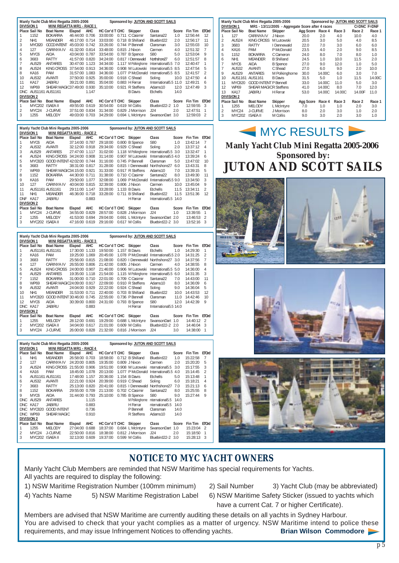| Manly Yacht Club Mini Regatta 2005-2006 |                   |                                  |                |       |                        |       | Sponsored by: JUTON AND SCOTT SAILS |                        |       |          |                |
|-----------------------------------------|-------------------|----------------------------------|----------------|-------|------------------------|-------|-------------------------------------|------------------------|-------|----------|----------------|
|                                         | DIVISION 1        | <b>MINI REGATTA MR1 - RACE 1</b> |                |       |                        |       |                                     |                        |       |          |                |
|                                         | Place Sail No     | <b>Boat Name</b>                 | Elapsd         | AHC   | HC Cor'd T CHC Skipper |       |                                     | Class                  | Score | Fin Tim  | <b>ETOrd</b>   |
|                                         | 1152              | BOKARRA                          | 46:44:00 0.706 |       | 33:00:00               |       | 0.711 C Casimir                     | Santana22              | 1.0   | 12:56:44 | 12             |
| 2                                       | NH <sub>1</sub>   | <b>MEANDER</b>                   | 46:17:00 0.714 |       | 33:03:00               |       | 0.718 B Shilland                    | Bluebird22             | 2.0   | 12:56:17 | 11             |
| 3                                       | <b>MYC820</b>     | <b>GOOD INTENT</b>               | 45:03:00 0.742 |       | 33:26:00               |       | 0.744 P Bennell                     | Clansman               | 3.0   | 12:55:03 | 10             |
| 4                                       | 127               | CARINYA IV                       | 41:32:00 0.814 |       | 33:48:00               |       | $0.815$ J Nixon                     | Carmen                 | 4.0   | 12:51:32 | $\overline{7}$ |
| 5                                       | MYC6              | AIDA                             | 43:04:00 0.787 |       | 33:54:00               |       | 0.787 B Spence                      | S80                    | 5.0   | 12:53:04 | 9              |
| 6                                       | 3683              | <b>RATTY</b>                     | 41:57:00 0.820 |       | 34:24:00               |       | 0.817   Dennewald                   | Northshore27           | 6.0   | 12:51:57 | 8              |
|                                         | AUS29             | <b>ANTARFS</b>                   | 30:47:00 1.123 |       | 34:34:00               |       | 1.117 M Polkinghorne                | International 5.5 7.0  |       | 12:40:47 |                |
| 8                                       | AUS24             | <b>KING CROSS</b>                | 37:54:00 0.913 |       | 34:36:00               |       | 0.908 M Lutowski                    | International 5.5 8.5  |       | 12:47:54 | 5              |
| 8                                       | KA16              | PAM                              | 31:57:00 1.083 |       | 34:36:00               |       | 1.077 P McDonald                    | International5.5 8.5   |       | 12:41:57 | $\mathfrak{D}$ |
| 10                                      | AUS32             | AVANTI                           | 37:50:00 0.925 |       | 35:00:00               |       | 0.918 C Shead                       | Soling                 | 10.0  | 12:47:50 | 4              |
| 11                                      | <b>KA17</b>       | <b>JABIRU</b>                    | 39:21:00 0.891 |       | 35:04:00               |       | 0.883 H Ferrar                      | IInternational5.5 11.0 |       | 12:49:21 | h              |
| 12                                      | <b>WP69</b>       | SHEAR MAGIC37:49:00 0.930        |                |       | 35:10:00               | 0.921 | R Steffens                          | Adams10                | 12.0  | 12:47:49 | 3              |
| DNC.                                    |                   | AUS1161 AUS1161                  |                | 1.147 |                        |       | <b>B</b> Davis                      | <b>Etchells</b>        | 14.0  |          |                |
|                                         | <b>DIVISION 2</b> |                                  |                |       |                        |       |                                     |                        |       |          |                |
|                                         | Place Sail No     | <b>Boat Name</b>                 | Elapsd         | AHC   | HC Cor'd T CHC Skipper |       |                                     | Class                  | Score | Fin Tim  | <b>ETOrd</b>   |
|                                         | MYC202 ISAEA II   |                                  | 49:55:00 0.619 |       | 30:54:00               |       | 0.619 M Collis                      | Bluebird22-2           | 1.0   | 12:59:55 | 3              |
| 2                                       | MYC24             | J-CURVE                          | 37:51:00 0.834 |       | 31:34:00               |       | 0.829 J Morrison                    | J24                    | 2.0   | 12:47:51 |                |
| 3                                       | 1255              | MELODY                           | 49:03:00 0.703 |       | 34:29:00               |       | 0.694 L McIntyre                    | SwansonDart 3.0        |       | 12:59:03 | $\overline{2}$ |

| Manly Yacht Club Mini Regatta 2005-2006 |                   |                            |                |            |                |       | Sponsored by: JUTON AND SCOTT SAILS |                       |       |          |                |
|-----------------------------------------|-------------------|----------------------------|----------------|------------|----------------|-------|-------------------------------------|-----------------------|-------|----------|----------------|
|                                         | <b>DIVISION 1</b> | MINI REGATTA MR1 - RACE 2  |                |            |                |       |                                     |                       |       |          |                |
|                                         | Place Sail No     | <b>Boat Name</b>           | Elapsd         | <b>AHC</b> | HC Cor'd T CHC |       | Skipper                             | Class                 | Score | Fin Tim  | <b>ETOrd</b>   |
|                                         | MYC6              | AIDA                       | 37:14:00 0.787 |            | 29:18:00       |       | 0.800 B Spence                      | S80                   | 1.0   | 13:42:14 | 7              |
| 2                                       | AUS32             | AVANTI                     | 32:12:00 0.918 |            | 29:34:00       |       | 0.929 C Shead                       | Soling                | 2.0   | 13:37:12 | 4              |
| 3                                       | AUS29             | <b>ANTARES</b>             | 27:47:00 1.117 |            | 31:02:00       |       | 1.118 M Polkinghorne                | International 5.5 3.0 |       | 13:32:47 |                |
| 4                                       | AUS24             | KING CROSS                 | 34:24:00 0.908 |            | 31:14:00       |       | 0.907 M Lutowski                    | IInternational5.5 4.0 |       | 13:39:24 | 6              |
| 5                                       | <b>MYC820</b>     | GOOD INTENT 42:02:00 0.744 |                |            | 31:16:00       |       | 0.745 P Bennell                     | Clansman              | 5.0   | 13:47:02 | 10             |
| 6                                       | 3683              | RATTY                      | 38:31:00 0.817 |            | 31:28:00       |       | 0.815   Dennewald                   | Northshore27          | 6.0   | 13:43:31 | 8              |
|                                         | <b>WP69</b>       | SHEAR MAGIC34:15:00 0.921  |                |            | 31:33:00       |       | 0.917 R Steffens                    | Adams10               | 7.0   | 13:39:15 | 5              |
| 8                                       | 1152              | <b>BOKARRA</b>             | 44:30:00 0.711 |            | 31:38:00       |       | 0.710 C Casimir                     | Santana22             | 8.0   | 13:49:30 | 11             |
| 9                                       | KA16              | PAM                        | 29:50:00 1.077 |            | 32:08:00       |       | 1.069 P McDonald                    | IInternational5.5 9.0 |       | 13:34:50 | 3              |
| 10                                      | 127               | CARINYA IV                 | 40:04:00 0.815 |            | 32:39:00       |       | 0.806 J Nixon                       | Carmen                | 10.0  | 13:45:04 | 9              |
| 11                                      |                   | AUS1161 AUS1161            | 29:11:00 1.147 |            | 33:28:00       |       | 1.133 B Davis                       | <b>Etchells</b>       | 11.5  | 13:34:11 | $\mathfrak{D}$ |
| 11                                      | NH <sub>1</sub>   | <b>MEANDER</b>             | 46:36:00 0.718 |            | 33:28:00       | 0.711 | <b>B</b> Shilland                   | Bluebird22            | 11.5  | 13:51:36 | 12             |
| <b>DNF</b>                              | <b>KA17</b>       | <b>JABIRU</b>              |                | 0.883      |                |       | H Ferrar                            | International5.5      | 14.0  |          |                |
|                                         | <b>DIVISION 2</b> |                            |                |            |                |       |                                     |                       |       |          |                |
|                                         | Place Sail No     | <b>Boat Name</b>           | Elapsd         | <b>AHC</b> | HC Cor'd T CHC |       | Skipper                             | Class                 | Score | Fin Tim  | <b>ETOrd</b>   |
|                                         | MYC24             | <b>J-CURVE</b>             | 34:55:00       | 0.829      | 28:57:00       |       | 0.828 J Morrison                    | J24                   | 1.0   | 13:39:55 | 1              |
| 2                                       | 1255              | MELODY                     | 41:53:00 0.694 |            | 29:04:00       |       | 0.691 L McIntyre                    | SwansonDart 2.0       |       | 13:46:53 | $\mathfrak{D}$ |
| 3                                       | MYC202            | <b>ISAFA II</b>            | 47:16:00 0.619 |            | 29:16:00       |       | 0.617 M Collis                      | Bluebird22-2 3.0      |       | 13:52:16 | 3              |

|                | <b>DIVISION 1</b> | Manly Yacht Club Mini Regatta 2005-2006<br>MINI REGATTA MR1 - RACE 3 |                |       |                        |                        | Sponsored by: JUTON AND SCOTT SAILS |       |          |                  |
|----------------|-------------------|----------------------------------------------------------------------|----------------|-------|------------------------|------------------------|-------------------------------------|-------|----------|------------------|
|                | Place Sail No     | <b>Boat Name</b>                                                     | Elapsd         | AHC   |                        | HC Cor'd T CHC Skipper | Class                               | Score | Fin Tim  | <b>ETOrd</b>     |
|                |                   | AUS1161 AUS1161                                                      | 17:30:00 1.133 |       | 19:50:00               | 1.157 B Davis          | <b>Etchells</b>                     | 1.0   | 14:29:30 |                  |
| $\overline{2}$ | <b>KA16</b>       | PAM                                                                  | 19:25:00 1.069 |       | 20:45:00               | 1.078 P McDonald       | IInternational 5.5 2.0              |       | 14:31:25 | $\mathcal{P}$    |
| 3              | 3683              | <b>RATTY</b>                                                         | 25:56:00 0.815 |       | 21:08:00               | 0.820   Dennewald      | Northshore27 3.0                    |       | 14:37:56 | 7                |
| 4              | 127               | CARINYA IV                                                           | 26:55:00 0.806 |       | 21:42:00               | 0.805 J Nixon          | Carmen                              | 4.0   | 14:38:55 | 8                |
| 5              | AUS24             | <b>KING CROSS</b>                                                    | 24:00:00 0.907 |       | 21:46:00               | 0.906 M Lutowski       | International 5.5 5.0               |       | 14:36:00 | 4                |
| 6              | AUS29             | ANTARES                                                              | 19:35:00 1.118 |       | 21:54:00               | 1.115 M Polkinghorne   | International 5.5 6.0               |       | 14:31:35 | 3                |
| $\overline{7}$ | 1152              | <b>BOKARRA</b>                                                       | 31:00:00 0.710 |       | 22:01:00               | 0.709 C Casimir        | Santana <sub>22</sub>               | 7.0   | 14:43:00 | 11               |
| 8              | <b>WP69</b>       | SHEAR MAGIC24:09:00 0.917                                            |                |       | 22:09:00               | 0.910 R Steffens       | Adams10                             | 8.0   | 14:36:09 | 6                |
| 9              | AUS32             | AVANTI                                                               | 24:04:00 0.929 |       | 22:22:00               | 0.924 C Shead          | Soling                              | 9.0   | 14:36:04 | 5                |
| 10             | NH <sub>1</sub>   | <b>MEANDER</b>                                                       | 31:53:00 0.711 |       | 22:40:00               | 0.703 B Shilland       | Bluebird22                          | 10.0  | 14:43:53 | $12^{1}$         |
| 11             | <b>MYC820</b>     | GOOD INTENT 30:46:00 0.745                                           |                |       | 22:55:00               | 0.736 P Bennell        | Clansman                            | 11.0  | 14:42:46 | 10 <sup>10</sup> |
| 12             | MYC6              | AIDA                                                                 | 30:39:00 0.800 |       | 24:31:00               | 0.793 B Spence         | S80                                 | 12.0  | 14:42:39 | 9                |
| <b>DNC</b>     | <b>KA17</b>       | <b>JABIRU</b>                                                        |                | 0.883 |                        | H Ferrar               | IInternational5.5 14.0              |       |          |                  |
|                | <b>DIVISION 2</b> |                                                                      |                |       |                        |                        |                                     |       |          |                  |
|                | Place Sail No     | <b>Boat Name</b>                                                     | Elapsd         | AHC   | HC Cor'd T CHC Skipper |                        | Class                               | Score | Fin Tim  | <b>ETOrd</b>     |
|                | 1255              | <b>MELODY</b>                                                        | 28:12:00 0.691 |       | 19:29:00               | 0.688 L McIntyre       | SwansonDart 1.0                     |       | 14:40:12 | $\overline{2}$   |
| 2              | MYC202            | <b>ISAEA II</b>                                                      | 34:04:00 0.617 |       | 21:01:00               | 0.609 M Collis         | Bluebird22-2                        | 2.0   | 14:46:04 | $\overline{3}$   |
| 3              | MYC24             | <b>J-CURVE</b>                                                       | 26:00:00 0.828 |       | 21:32:00               | 0.816 J Morrison       | J24                                 | 3.0   | 14:38:00 |                  |

| Manly Yacht Club Mini Regatta 2005-2006<br>MINI REGATTA MR1 - RACE 4<br><b>DIVISION 1</b> |                   |                    |                | Sponsored by: JUTON AND SCOTT SAILS |                        |  |                   |                  |       |               |                |
|-------------------------------------------------------------------------------------------|-------------------|--------------------|----------------|-------------------------------------|------------------------|--|-------------------|------------------|-------|---------------|----------------|
|                                                                                           | Place Sail No     | <b>Boat Name</b>   | Elapsd         | <b>AHC</b>                          | HC Cor'd T CHC Skipper |  |                   | Class            | Score | Fin Tim ETOrd |                |
|                                                                                           | NH <sub>1</sub>   | <b>MEANDER</b>     | 26:58:00 0.703 |                                     | 18:58:00               |  | 0.712 B Shilland  | Bluebird22       | 1.0   | 15:22:58      | 7              |
| $\overline{2}$                                                                            | 127               | <b>CARINYA IV</b>  | 24:20:00 0.805 |                                     | 19:35:00               |  | $0.809$ J Nixon   | Carmen           | 2.0   | 15:20:20      | 5              |
| 3                                                                                         | AUS <sub>24</sub> | KING CROSS         | 21:55:00 0.906 |                                     | 19:51:00               |  | 0.908 M Lutowski  | nternational5.5  | 3.0   | 15:17:55      | 3              |
| 4                                                                                         | KA16              | PAM                | 18:45:00 1.078 |                                     | 20:13:00               |  | 1.077 P McDonald  | International5.5 | 4.0   | 15:14:45      | $\mathfrak{D}$ |
| 5                                                                                         |                   | AUS1161 AUS1161    | 17:48:00 1.157 |                                     | 20:36:00               |  | 1.154 B Davis     | <b>Etchells</b>  | 5.0   | 15:13:48      |                |
| 6                                                                                         | AUS32             | AVANTI             | 22:21:00 0.924 |                                     | 20:39:00               |  | 0.919 C Shead     | Soling           | 6.0   | 15:18:21      | 4              |
|                                                                                           | 3683              | <b>RATTY</b>       | 25:13:00 0.820 |                                     | 20:41:00               |  | 0.815   Dennewald | Northshore27     | 7.0   | 15:21:13      | 6              |
| 8                                                                                         | 1152              | <b>BOKARRA</b>     | 29:55:00 0.709 |                                     | 21:13:00               |  | 0.702 C Casimir   | Santana22        | 8.0   | 15:25:55      | 8              |
| 9                                                                                         | MYC6              | AIDA               | 31:44:00       | 0.793                               | 25:10:00               |  | 0.785 B Spence    | S80              | 9.0   | 15:27:44      | 9              |
| DNC                                                                                       | AUS <sub>29</sub> | <b>ANTARFS</b>     |                | 1.115                               |                        |  | M Polkinghorne    | nternational5.5  | 14.0  |               |                |
| DNC.                                                                                      | <b>KA17</b>       | <b>JABIRU</b>      |                | 0.883                               |                        |  | H Ferrar          | nternational5.5  | 14.0  |               |                |
| DNC                                                                                       | <b>MYC820</b>     | <b>GOOD INTENT</b> |                | 0.736                               |                        |  | P Bennell         | Clansman         | 14.0  |               |                |
| <b>DNC</b>                                                                                | <b>WP69</b>       | SHEAR MAGIC        |                | 0.910                               |                        |  | R Steffens        | Adams10          | 14.0  |               |                |
| <b>DIVISION 2</b>                                                                         |                   |                    |                |                                     |                        |  |                   |                  |       |               |                |
|                                                                                           | Place Sail No     | <b>Boat Name</b>   | Elapsd         | <b>AHC</b>                          | HC Cor'd T CHC         |  | Skipper           | Class            | Score | Fin Tim       | <b>ETOrd</b>   |
|                                                                                           | 1255              | <b>MELODY</b>      | 27:04:00       | 0.688                               | 18:37:00               |  | 0.684 L McIntyre  | SwansonDart      | 1.0   | 15:23:04      | $\mathfrak{D}$ |
| 2                                                                                         | MYC24             | J-CURVE            | 22:50:00 0.816 |                                     | 18:38:00               |  | 0.812 J Morrison  | J24              | 2.0   | 15:18:50      |                |
| 3                                                                                         | MYC202 ISAEA II   |                    | 32:13:00 0.609 |                                     | 19:37:00               |  | 0.599 M Collis    | Bluebird22-2     | 3.0   | 15:28:13      | 3              |

|                | <b>DIVISION 1</b> |                 |                              | Manly Yacht Club Mini Regatta 2005-2006<br>MR1 - 13/11/2005 - Aggregate Score after 4 races |           |        |        | Sponsored by: JUTON AND SCOTT SAILS<br>C=DNC F=DNF |        |
|----------------|-------------------|-----------------|------------------------------|---------------------------------------------------------------------------------------------|-----------|--------|--------|----------------------------------------------------|--------|
|                | Place Sail No     |                 | <b>Boat Name</b>             | Skipper                                                                                     | Agg Score | Race 4 | Race 3 | Race 2                                             | Race 1 |
| 1              | 127               |                 | CARINYA IV                   | J Nixon                                                                                     | 20.0      | 2.0    | 4.0    | 10.0                                               | 4.0    |
| $\mathfrak{D}$ |                   | AUS24           | KING CROSS                   | M Lutowski                                                                                  | 20.5      | 3.0    | 5.0    | 4.0                                                | 8.5    |
| 3              |                   | 3683            | RATTY                        | I Dennewald                                                                                 | 22.0      | 7.0    | 3.0    | 6.0                                                | 6.0    |
| 4              |                   | KA16            | PAM                          | P McDonald                                                                                  | 23.5      | 4.0    | 2.0    | 9.0                                                | 8.5    |
| 5              |                   | 1152            | BOKARRA                      | C Cameron                                                                                   | 24.0      | 8.0    | 7.0    | 8.0                                                | 1.0    |
| 6              |                   | NH <sub>1</sub> | <b>MEANDER</b>               | <b>B</b> Shilland                                                                           | 24.5      | 1.0    | 10.0   | 11.5                                               | 2.0    |
| 7              |                   | MYC6            | AIDA                         | <b>B</b> Spence                                                                             | 27.0      | 9.0    | 12.0   | 1.0                                                | 5.0    |
| 7              |                   | AUS32           | AVANTI                       | C Shead                                                                                     | 27.0      | 6.0    | 9.0    | 2.0                                                | 10.0   |
| 9              |                   | AUS29           | ANTARES                      | M Polkinghorne                                                                              | 30.0      | 14.00C | 6.0    | 3.0                                                | 7.0    |
|                | 10                | AUS1161         | AUS1161                      | <b>B</b> Davis                                                                              | 31.5      | 5.0    | 1.0    | 11.5                                               | 14.00C |
| 11             |                   | MYC820          | GOOD INTENT P Bennell        |                                                                                             | 33.0      | 14.00C | 11.0   | 5.0                                                | 3.0    |
|                | 12                | WP69            | <b>SHEAR MAGICR Steffens</b> |                                                                                             | 41.0      | 14.00C | 8.0    | 7.0                                                | 12.0   |
|                | 13                | KA17            | <b>JABIRU</b>                | H Ferrar                                                                                    | 53.0      | 14.00C | 14.00C | 14.00F                                             | 11.0   |
|                | <b>DIVISION 2</b> |                 |                              |                                                                                             |           |        |        |                                                    |        |
|                | Place Sail No     |                 | <b>Boat Name</b>             | Skipper                                                                                     | Agg Score | Race 4 | Race 3 | Race 2                                             | Race 1 |
| 1              |                   | 1255            | <b>MELODY</b>                | L McIntyre                                                                                  | 7.0       | 1.0    | 1.0    | 2.0                                                | 3.0    |
| $\mathfrak{D}$ |                   | MYC24           | J-CURVE                      | J Morrison                                                                                  | 8.0       | 2.0    | 3.0    | 1.0                                                | 2.0    |
| 3              |                   | MYC202          | <b>ISAEA II</b>              | M Collis                                                                                    | 9.0       | 3.0    | 2.0    | 3.0                                                | 1.0    |

**Manly Yacht Club Mini Regatta 2005-2006 Sponsored by: JUTON AND SCOTT SAILS**

MYC RESULTS









## **NOTICE TO MYC YACHT OWNERS**

Manly Yacht Club Members are reminded that NSW Maritime has special requirements for Yachts. All yachts are required to display the following:

1) NSW Maritime Registration Number (100mm minimum) 2) Sail Number 3) Yacht Club (may be abbreviated)

4) Yachts Name 5) NSW Maritime Registration Label 6) NSW Maritime Safety Sticker (issued to yachts which

- 
- have a current Cat. 7 or higher Certificate).

Members are advised that NSW Maritime are currently auditing these details on all yachts in Sydney Harbour. You are advised to check that your yacht complies as a matter of urgency. NSW Maritime intend to police these requirements, and may issue Infringement Notices to offending yachts. **Brian Wilson Commodore**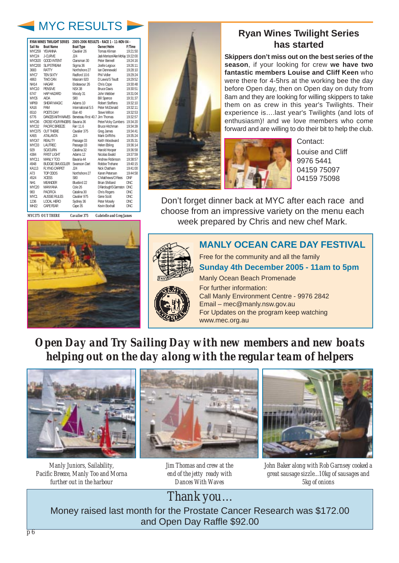## MYC RESULTS

|                  | <b>RYAN WINES TWILIGHT SERIES</b>                |                   | 2005-2006 RESULTS - RACE 1 - 11-NOV-04 - |            |
|------------------|--------------------------------------------------|-------------------|------------------------------------------|------------|
| Sail No          | <b>Boat Name</b>                                 | <b>Boat Type</b>  | Owner/Helm                               | F/Time     |
|                  | MYC259 YFVANNA                                   | Cavalier 26       | Tomas Kliman                             | 19:21:50   |
| MYC24            | J-CURVF                                          | 124               | Jack Morrison/Alan McKay 19:22:00        |            |
|                  | MYC820 GOOD INTENT                               | Clansman 30       | Peter Bennell                            | 19:24:16   |
| MYC200           | SI IPSTRFAM                                      | Sigma 36          | Joelle Legoux                            | 19:26:11   |
| 3683             | <b>RATTY</b>                                     | Northshore 27     | Ian Dennewald                            | 19:28:10   |
| MYC7             | <b>TEN SIXTY</b>                                 | Radford 10.6      | Phil Vidler                              | 19:29:24   |
| 4863             | TWO CAN                                          | Masram 920        | D Lewis/S Teudt                          | 19:29:52   |
| <b>NH14</b>      | HAGAR                                            | Fndeavour 26      | Chris Cope                               | 19:30:48   |
| MYC10            | PENSIVE                                          | <b>NSX 38</b>     | <b>Bruce Davis</b>                       | 19:30:51   |
| 6747             | HAP HA7ARD                                       | Moody 31          | John Webber                              | 19:31:04   |
| MYC6             | AIDA                                             | S80               | <b>Bill Spence</b>                       | 19:31:37   |
| <b>WP69</b>      | SHEAR MAGIC                                      | Adams 10          | Robert Steffens                          | 19:32:10   |
| <b>KA16</b>      | PAM                                              | International 5.5 | Peter McDonald                           | 19:32:11   |
| 6510             | POFTS DAY                                        | Flan 40           | Steve Wilton                             | 19:32:53   |
| 6776             | DANCES WITH WAVES Beneteau First 40.7 Jim Thomas |                   |                                          | 19:32:57   |
|                  | MYC36 CROSS YOUR FINGERS Bavaria 36              |                   | Peter/Vicky Cumbers 19:34:20             |            |
| MYC32            | PACIFIC BRFF7F                                   | Farr 11.6         | <b>Bruce Hitchman</b>                    | 19:34:39   |
| MYC375           | <b>OUT THERE</b>                                 | Cavalier 375      | Greg James                               | 19:34:41   |
| KA55             | ATAI ANTA                                        | 124               | Mark Griffiths                           | 19:35:24   |
| MYC47            | REALITY                                          | Passage 33        | Keith Woodward                           | 19:35:31   |
| MYC33            | <b>I AUTREC</b>                                  | Passage 33        | Helen Ebling                             | 19:36:14   |
| 929              | <b>SOJOURN</b>                                   | Catalina 32       | Harold Hooper                            | 19:36:58   |
| 4384             | <b>FIRST LIGHT</b>                               | Adams 12          | Nicolas Ewald                            | 19:37:59   |
| MYC11            | MANI Y TOO                                       | Ravaria 44        | Andrew Robinson                          | 19:38:57   |
| 4948             | BUDGIF SMUGGLER Swanson Dart                     |                   | Robbie Trehane                           | 19:40:15   |
| KA113            | <b>FLYING CARPET</b>                             | 124               | Nick Chatham                             | 19:41:00   |
| A73              | TOP ODDS                                         | Northshore 27     | Karen Petersen                           | 19:44:58   |
| 4524             | <b>XCESS</b>                                     | \$80              | C Matthews/O Rees                        | <b>DNF</b> |
| NH <sub>1</sub>  | MFANDER                                          | Bluebird 22       | <b>Brian Shilland</b>                    | DNC        |
| MYC20            | MANYANA                                          | Cole 26           | D Fairclough/S Garmston DNC              |            |
| 983              | PACIFICA                                         | Catalina 30       | <b>Chris Rogers</b>                      | DNC        |
| MYC1             | <b>AUSSIF RULES</b>                              | Cavalier 975      | Gene Scott                               | DNC        |
| 1236             | LOCAL HERO                                       | Sydney 36         | Peter Moselv                             | <b>DNC</b> |
| MH <sub>22</sub> | <b>CAPF FFAR</b>                                 | Cape 35           | Kevin Boxhall                            | <b>DNC</b> |
|                  |                                                  |                   |                                          |            |

*MYC375 OUT THERE Cavalier 375 Gabrielle and Greg James*



## **Ryan Wines Twilight Series has started**

**Skippers don't miss out on the best series of the season**, if your looking for crew **we have two fantastic members Louise and Cliff Keen** who were there for 4-5hrs at the working bee the day before Open day, then on Open day on duty from 8am and they are looking for willing skippers to take them on as crew in this year's Twilights. Their experience is….last year's Twilights (and lots of enthusiasm)! and we love members who come forward and are willing to do their bit to help the club.



Contact: Louise and Cliff 9976 5441 04159 75097 04159 75098

Don't forget dinner back at MYC after each race and choose from an impressive variety on the menu each week prepared by Chris and new chef Mark.



Free for the community and all the family **Sunday 4th December 2005 - 11am to 5pm** Manly Ocean Beach Promenade For further information: Call Manly Environment Centre - 9976 2842

**MANLY OCEAN CARE DAY FESTIVAL**



Email – mec@manly.nsw.gov.au For Updates on the program keep watching www.mec.org.au

*Open Day and Try Sailing Day with new members and new boats helping out on the day along with the regular team of helpers*



*Manly Juniors, Sailability, Pacific Breeze, Manly Too and Morna further out in the harbour*



*Jim Thomas and crew at the end of the jetty ready with Dances With Waves*



*John Baker along with Rob Garnsey cooked a great sausage sizzle...10kg of sausages and 5kg of onions* 

*Thank you*... Money raised last month for the Prostate Cancer Research was \$172.00 and Open Day Raffle \$92.00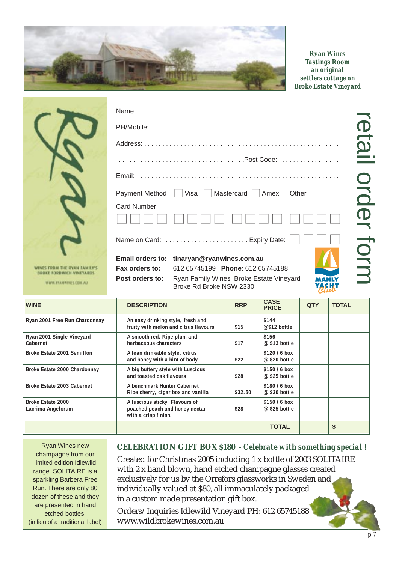

*Ryan Wines Tastings Room an original settlers cottage on Broke Estate Vineyard*

retail order form

retail order form

| Name:                                     |                                                                    |  |
|-------------------------------------------|--------------------------------------------------------------------|--|
|                                           |                                                                    |  |
|                                           |                                                                    |  |
|                                           |                                                                    |  |
|                                           |                                                                    |  |
|                                           | Payment Method $\Box$ Visa $\Box$ Mastercard $\Box$ Amex<br>Other  |  |
| Card Number:                              |                                                                    |  |
|                                           |                                                                    |  |
|                                           | Name on Card: Expiry Date:                                         |  |
| <b>Email orders to:</b><br>Fax orders to: | tinaryan@ryanwines.com.au<br>612 65745199 Phone: 612 65745188      |  |
| Post orders to:                           | Ryan Family Wines Broke Estate Vineyard<br>Broke Rd Broke NSW 2330 |  |
|                                           |                                                                    |  |

| <b>WINE</b>                            | <b>DESCRIPTION</b>                                                                       | <b>RRP</b> | <b>CASE</b><br><b>PRICE</b>     | <b>QTY</b> | <b>TOTAL</b> |
|----------------------------------------|------------------------------------------------------------------------------------------|------------|---------------------------------|------------|--------------|
| Ryan 2001 Free Run Chardonnay          | An easy drinking style, fresh and<br>fruity with melon and citrus flavours               | \$15       | \$144<br>@\$12 bottle           |            |              |
| Ryan 2001 Single Vineyard<br>Cabernet  | A smooth red. Ripe plum and<br>herbaceous characters                                     | \$17       | \$156<br>$@$ \$13 bottle        |            |              |
| Broke Estate 2001 Semillon             | A lean drinkable style, citrus<br>and honey with a hint of body                          | \$22       | $$120/6$ box<br>$@$ \$20 bottle |            |              |
| Broke Estate 2000 Chardonnay           | A big buttery style with Luscious<br>and toasted oak flavours                            | \$28       | $$150/6$ box<br>$@$ \$25 bottle |            |              |
| Broke Estate 2003 Cabernet             | A benchmark Hunter Cabernet<br>Ripe cherry, cigar box and vanilla                        | \$32.50    | $$180/6$ box<br>$@$ \$30 bottle |            |              |
| Broke Estate 2000<br>Lacrima Angelorum | A luscious sticky. Flavours of<br>poached peach and honey nectar<br>with a crisp finish. | \$28       | \$150/6 box<br>$@$ \$25 bottle  |            |              |
|                                        |                                                                                          |            | <b>TOTAL</b>                    |            | S            |

Ryan Wines new champagne from our limited edition Idlewild range. SOLITAIRE is a sparkling Barbera Free Run. There are only 80 dozen of these and they are presented in hand etched bottles. (in lieu of a traditional label)

WINES FROM THE RYAN<br>BROKE FORDWICH VIN

**WWW.ETANWINES.CO** 

### **CELEBRATION GIFT BOX \$180** - *Celebrate with something special !*

Created for Christmas 2005 including 1 x bottle of 2003 SOLITAIRE with 2 x hand blown, hand etched champagne glasses created exclusively for us by the Orrefors glassworks in Sweden and individually valued at \$80, all immaculately packaged in a custom made presentation gift box.

Orders/Inquiries Idlewild Vineyard PH: 612 65745188 www.wildbrokewines.com.au